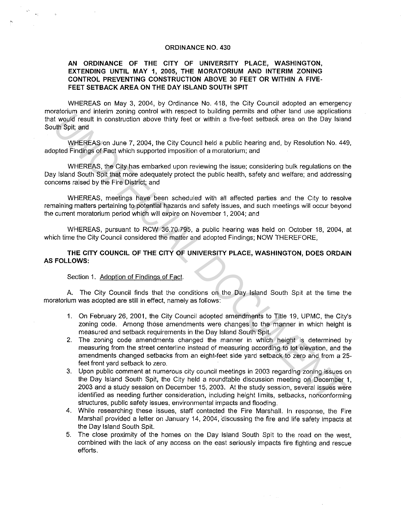#### **ORDINANCE NO. 430**

## **AN ORDINANCE OF THE CITY OF UNIVERSITY PLACE, WASHINGTON, EXTENDING UNTIL MAY 1, 2005, THE MORATORIUM AND INTERIM ZONING CONTROL PREVENTING CONSTRUCTION ABOVE 30 FEET OR WITHIN A FIVE-FEET SETBACK AREA ON THE DAY ISLAND SOUTH SPIT**

WHEREAS on May 3, 2004, by Ordinance No. 418, the City Council adopted an emergency moratorium and interim zoning control with respect to building permits and other land use applications that would result in construction above thirty feet or within a five-feet setback area on the Day Island South Spit; and

WHEREAS on June 7, 2004, the City Council held a public hearing and, by Resolution No. 449, adopted Findings of Fact which supported imposition of a moratorium; and

WHEREAS, the City has embarked upon reviewing the issue; considering bulk regulations on the Day Island South Spit that more adequately protect the public health, safety and welfare; and addressing concerns raised by the Fire District; and

WHEREAS, meetings have been scheduled with all affected parties and the City to resolve remaining matters pertaining to potential hazards and safety issues, and such meetings will occur beyond the current moratorium period which will expire on November 1, 2004; and

WHEREAS, pursuant to RCW 36.70.795, a public hearing was held on October 18, 2004, at which time the City Council considered the matter and adopted Findings: NOW THEREFORE,

### **THE CITY COUNCIL OF THE CITY OF UNIVERSITY PLACE, WASHINGTON, DOES ORDAIN AS FOLLOWS:**

#### Section 1. Adoption of Findings of Fact.

A. The City Council finds that the conditions on the Day Island South Spit at the time the moratorium was adopted are still in effect, namely as follows:

- **1.** On February 26, 2001, the City Council adopted amendments to Title 19, UPMC, the City's zoning code. Among those amendments were changes to the manner in which height is measured and setback requirements in the Day Island South Spit.
- 2. The zoning code amendments changed the manner in which height is determined by measuring from the street centerline instead of measuring according to lot elevation, and the amendments changed setbacks from an eight-feet side yard setback to zero and from a 25 feet front yard setback to zero.
- 3. Upon public comment at numerous city council meetings in 2003 regarding zoning issues on the Day Island South Spit, the City held a roundtable discussion meeting on December **1,**  2003 and a study session on December 15, 2003. At the study session, several issues were identified as needing further consideration, including height limits, setbacks, nonconforming structures, public safety issues, environmental impacts and flooding. incount in the metric zontrol the payer of both the spectral of the land we sply would read the construction above thitly feet or within a five-feet subteck rate on the Day Islam<br>
Where Fickness of Fact which supported imp
	- 4. While researching these issues, staff contacted the Fire Marshall. In response, the Fire Marshall provided a letter on January 14, 2004, discussing the fire and life safety impacts at the Day Island South Spit.
	- 5. The close proximity of the homes on the Day Island South Spit to the road on the west, combined with the lack of any access on the east seriously impacts fire fighting and rescue efforts.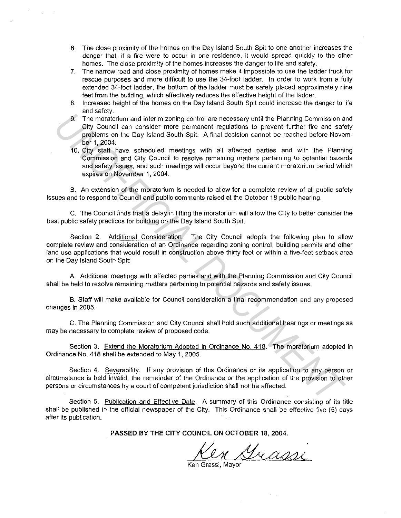- 6. The close proximity of the homes on the Day Island South Spit to one another increases the danger that, if a fire were to occur in one residence, it would spread quickly to the other homes. The close proximity of the homes increases the danger to life and safety.
- 7. The narrow road and close proximity of homes make it impossible to use the ladder truck for rescue purposes and more difficult to use the 34-foot ladder. In order to work from a fully extended 34-foot ladder, the bottom of the ladder must be safely placed approximately nine feet from the building, which effectively reduces the effective height of the ladder.
- 8. Increased height of the homes on the Day Island South Spit could increase the danger to life and safety.
- 9. The moratorium and interim zoning control are necessary until the Planning Commission and City Council can consider more permanent regulations to prevent further fire and safety problems on the Day Island South Spit. A final decision cannot be reached before November 1, 2004.
- 10. City staff have scheduled meetings with all affected parties and with the Planning Commission and City Council to resolve remaining matters pertaining to potential hazards and safety issues, and such meetings will occur beyond the current moratorium period which expires on November 1, 2004.

B. An extension of the moratorium is needed to allow for a complete review of all public safety issues and to respond to Council and public comments raised at the October 18 public hearing.

C. The Council finds that a delay in lifting the moratorium will allow the City to better consider the best public safety practices for building on the Day Island South Spit.

Section 2. Additional Consideration. The City Council adopts the following plan to allow complete review and consideration of an Ordinance regarding zoning control, building permits and other land use applications that would result in construction above thirty feet or within a five-feet setback area on the Day Island South Spit: **UNDERED THE SET AND THE SET AND THE SET AND THE SET AND THE SET AND THE SET AND THE SET AND THE SET AND THE SET AND THE SET AND THE SET AND THE SET AND THE SET AND THE SET AND THE SET AND THE SET AND THE SET AND THE SET A** 

A. Additional meetings with affected parties and with the Planning Commission and City Council .shall be held to resolve remaining matters pertaining to potential hazards and safety issues.

B. Staff will make available for Council consideration a final recommendation and any proposed changes in 2005.

C. The Planning Commission and City Council shall hold such additional hearings or meetings as may be necessary to complete review of proposed code.

Section 3. Extend the Moratorium Adopted in Ordinance No. 418. The moratorium adopted in Ordinance No. 418 shall be extended to May 1, 2005.

Section 4. Severability. If any provision of this Ordinance or its application to any person or circumstance is held invalid, the remainder of the Ordinance or the application of the provision to other persons or circumstances by a court of competent jurisdiction shall not be affected.

Section 5. Publication and Effective Date. A summary of this Ordinance consisting of its title shall be published in the official newspaper of the City. This Ordinance shall be effective five (5) days after its publication.

**PASSED BY THE CITY COUNCIL ON OCTOBER 18, 2004.** 

en Grassi

Ken Grassi, Mayor